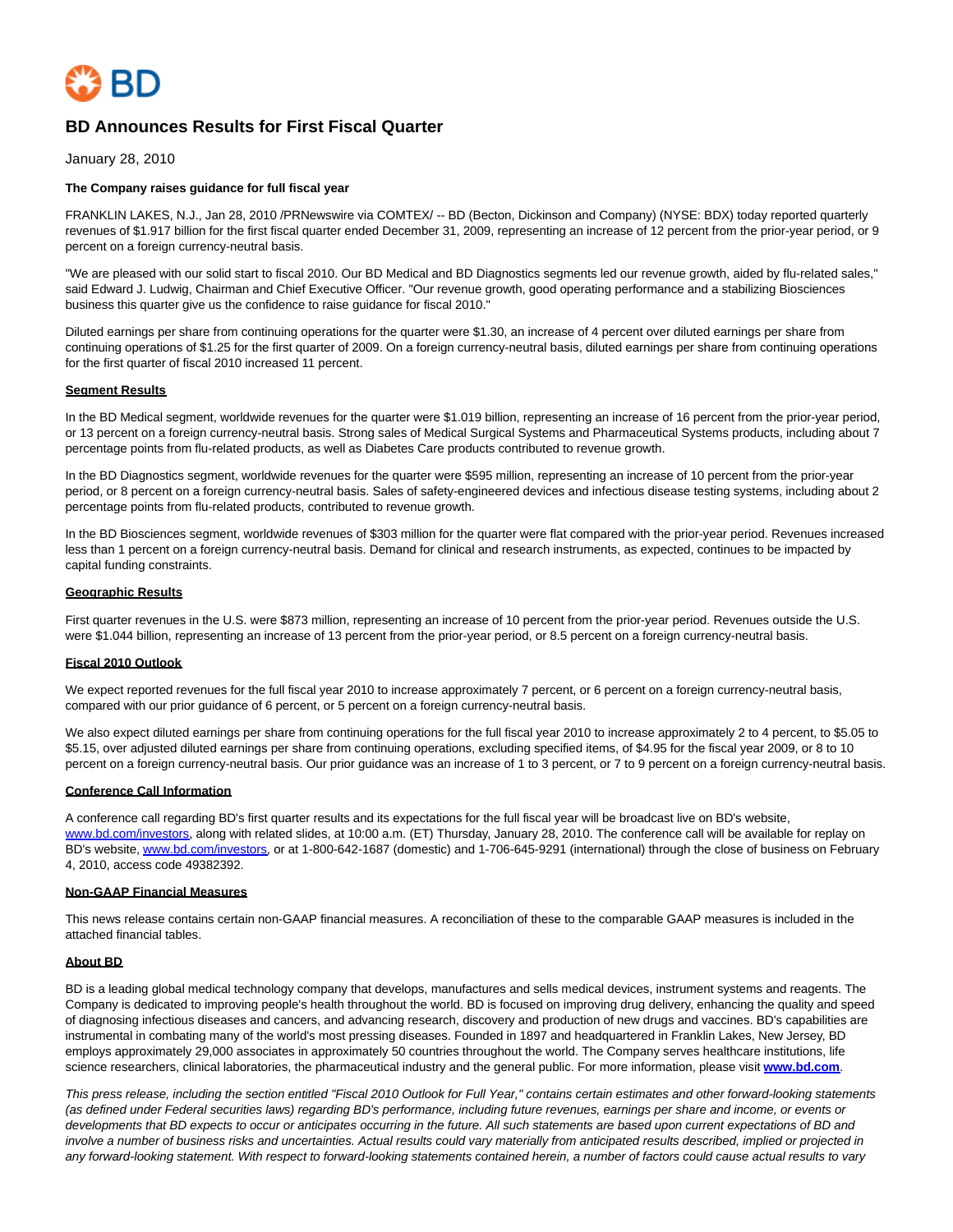

# **BD Announces Results for First Fiscal Quarter**

January 28, 2010

#### **The Company raises guidance for full fiscal year**

FRANKLIN LAKES, N.J., Jan 28, 2010 /PRNewswire via COMTEX/ -- BD (Becton, Dickinson and Company) (NYSE: BDX) today reported quarterly revenues of \$1.917 billion for the first fiscal quarter ended December 31, 2009, representing an increase of 12 percent from the prior-year period, or 9 percent on a foreign currency-neutral basis.

"We are pleased with our solid start to fiscal 2010. Our BD Medical and BD Diagnostics segments led our revenue growth, aided by flu-related sales," said Edward J. Ludwig, Chairman and Chief Executive Officer. "Our revenue growth, good operating performance and a stabilizing Biosciences business this quarter give us the confidence to raise guidance for fiscal 2010."

Diluted earnings per share from continuing operations for the quarter were \$1.30, an increase of 4 percent over diluted earnings per share from continuing operations of \$1.25 for the first quarter of 2009. On a foreign currency-neutral basis, diluted earnings per share from continuing operations for the first quarter of fiscal 2010 increased 11 percent.

#### **Segment Results**

In the BD Medical segment, worldwide revenues for the quarter were \$1.019 billion, representing an increase of 16 percent from the prior-year period, or 13 percent on a foreign currency-neutral basis. Strong sales of Medical Surgical Systems and Pharmaceutical Systems products, including about 7 percentage points from flu-related products, as well as Diabetes Care products contributed to revenue growth.

In the BD Diagnostics segment, worldwide revenues for the quarter were \$595 million, representing an increase of 10 percent from the prior-year period, or 8 percent on a foreign currency-neutral basis. Sales of safety-engineered devices and infectious disease testing systems, including about 2 percentage points from flu-related products, contributed to revenue growth.

In the BD Biosciences segment, worldwide revenues of \$303 million for the quarter were flat compared with the prior-year period. Revenues increased less than 1 percent on a foreign currency-neutral basis. Demand for clinical and research instruments, as expected, continues to be impacted by capital funding constraints.

#### **Geographic Results**

First quarter revenues in the U.S. were \$873 million, representing an increase of 10 percent from the prior-year period. Revenues outside the U.S. were \$1.044 billion, representing an increase of 13 percent from the prior-year period, or 8.5 percent on a foreign currency-neutral basis.

## **Fiscal 2010 Outlook**

We expect reported revenues for the full fiscal year 2010 to increase approximately 7 percent, or 6 percent on a foreign currency-neutral basis, compared with our prior guidance of 6 percent, or 5 percent on a foreign currency-neutral basis.

We also expect diluted earnings per share from continuing operations for the full fiscal year 2010 to increase approximately 2 to 4 percent, to \$5.05 to \$5.15, over adjusted diluted earnings per share from continuing operations, excluding specified items, of \$4.95 for the fiscal year 2009, or 8 to 10 percent on a foreign currency-neutral basis. Our prior guidance was an increase of 1 to 3 percent, or 7 to 9 percent on a foreign currency-neutral basis.

#### **Conference Call Information**

A conference call regarding BD's first quarter results and its expectations for the full fiscal year will be broadcast live on BD's website, [www.bd.com/investors,](http://www.bd.com/investors) along with related slides, at 10:00 a.m. (ET) Thursday, January 28, 2010. The conference call will be available for replay on BD's website, [www.bd.com/investors,](http://www.bd.com/investors) or at 1-800-642-1687 (domestic) and 1-706-645-9291 (international) through the close of business on February 4, 2010, access code 49382392.

## **Non-GAAP Financial Measures**

This news release contains certain non-GAAP financial measures. A reconciliation of these to the comparable GAAP measures is included in the attached financial tables.

#### **About BD**

BD is a leading global medical technology company that develops, manufactures and sells medical devices, instrument systems and reagents. The Company is dedicated to improving people's health throughout the world. BD is focused on improving drug delivery, enhancing the quality and speed of diagnosing infectious diseases and cancers, and advancing research, discovery and production of new drugs and vaccines. BD's capabilities are instrumental in combating many of the world's most pressing diseases. Founded in 1897 and headquartered in Franklin Lakes, New Jersey, BD employs approximately 29,000 associates in approximately 50 countries throughout the world. The Company serves healthcare institutions, life science researchers, clinical laboratories, the pharmaceutical industry and the general public. For more information, please visit **[www.bd.com](http://www.bd.com/)**.

This press release, including the section entitled "Fiscal 2010 Outlook for Full Year," contains certain estimates and other forward-looking statements (as defined under Federal securities laws) regarding BD's performance, including future revenues, earnings per share and income, or events or developments that BD expects to occur or anticipates occurring in the future. All such statements are based upon current expectations of BD and involve a number of business risks and uncertainties. Actual results could vary materially from anticipated results described, implied or projected in any forward-looking statement. With respect to forward-looking statements contained herein, a number of factors could cause actual results to vary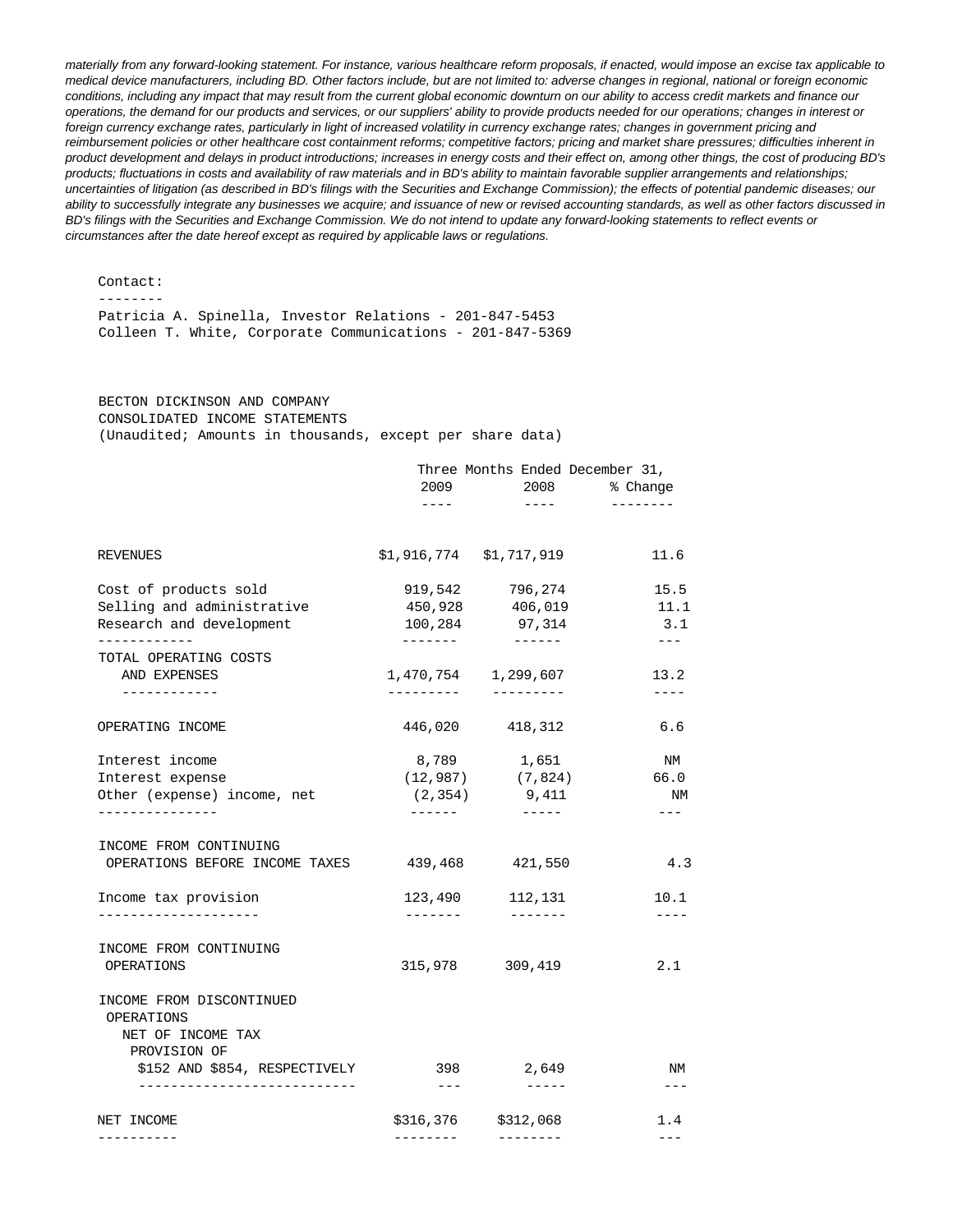materially from any forward-looking statement. For instance, various healthcare reform proposals, if enacted, would impose an excise tax applicable to medical device manufacturers, including BD. Other factors include, but are not limited to: adverse changes in regional, national or foreign economic conditions, including any impact that may result from the current global economic downturn on our ability to access credit markets and finance our operations, the demand for our products and services, or our suppliers' ability to provide products needed for our operations; changes in interest or foreign currency exchange rates, particularly in light of increased volatility in currency exchange rates; changes in government pricing and reimbursement policies or other healthcare cost containment reforms; competitive factors; pricing and market share pressures; difficulties inherent in product development and delays in product introductions; increases in energy costs and their effect on, among other things, the cost of producing BD's products; fluctuations in costs and availability of raw materials and in BD's ability to maintain favorable supplier arrangements and relationships; uncertainties of litigation (as described in BD's filings with the Securities and Exchange Commission); the effects of potential pandemic diseases; our ability to successfully integrate any businesses we acquire; and issuance of new or revised accounting standards, as well as other factors discussed in BD's filings with the Securities and Exchange Commission. We do not intend to update any forward-looking statements to reflect events or circumstances after the date hereof except as required by applicable laws or regulations.

 Contact: -------- Patricia A. Spinella, Investor Relations - 201-847-5453 Colleen T. White, Corporate Communications - 201-847-5369

## BECTON DICKINSON AND COMPANY CONSOLIDATED INCOME STATEMENTS (Unaudited; Amounts in thousands, except per share data)

|                                                                | Three Months Ended December 31, |                                           |                     |
|----------------------------------------------------------------|---------------------------------|-------------------------------------------|---------------------|
|                                                                | 2009                            |                                           | 2008 % Change       |
|                                                                | $- - - - -$                     | $\sim$ 1000 $\sim$                        | ---------           |
| <b>REVENUES</b>                                                | $$1,916,774$ $$1,717,919$       |                                           | 11.6                |
| Cost of products sold                                          |                                 | 919,542 796,274                           | 15.5                |
| Selling and administrative<br>Research and development         | 450,928<br>100,284              | 406,019<br>97,314                         | 11.1<br>3.1         |
| ------------<br>TOTAL OPERATING COSTS                          | --------                        |                                           | $- - -$             |
| AND EXPENSES<br>------------                                   |                                 | 1,470,754 1,299,607                       | 13.2<br>$- - - - -$ |
| OPERATING INCOME                                               | 446,020                         | 418,312                                   | 6.6                 |
|                                                                |                                 |                                           |                     |
| Interest income                                                |                                 | 8,789 1,651                               | N/M                 |
| Interest expense<br>Other (expense) income, net                |                                 | $(12, 987)$ $(7, 824)$<br>$(2,354)$ 9,411 | 66.0<br>NM          |
| ---------------<br>INCOME FROM CONTINUING                      | -------                         | $- - - - - -$                             | $---$               |
| OPERATIONS BEFORE INCOME TAXES                                 |                                 | 439,468 421,550                           | 4.3                 |
| Income tax provision<br>--------------------                   | --------                        | 123,490 112,131                           | 10.1<br>$- - - - -$ |
| INCOME FROM CONTINUING                                         |                                 |                                           |                     |
| OPERATIONS                                                     |                                 | 315,978 309,419                           | 2.1                 |
| INCOME FROM DISCONTINUED<br>OPERATIONS                         |                                 |                                           |                     |
| NET OF INCOME TAX                                              |                                 |                                           |                     |
| PROVISION OF                                                   |                                 |                                           |                     |
| \$152 AND \$854, RESPECTIVELY<br>_____________________________ | $---$                           | 398 2,649                                 | NM<br>$- - -$       |
| NET INCOME                                                     |                                 | \$316,376 \$312,068                       | 1.4                 |
| ----------                                                     | --------                        | --------                                  | $---$               |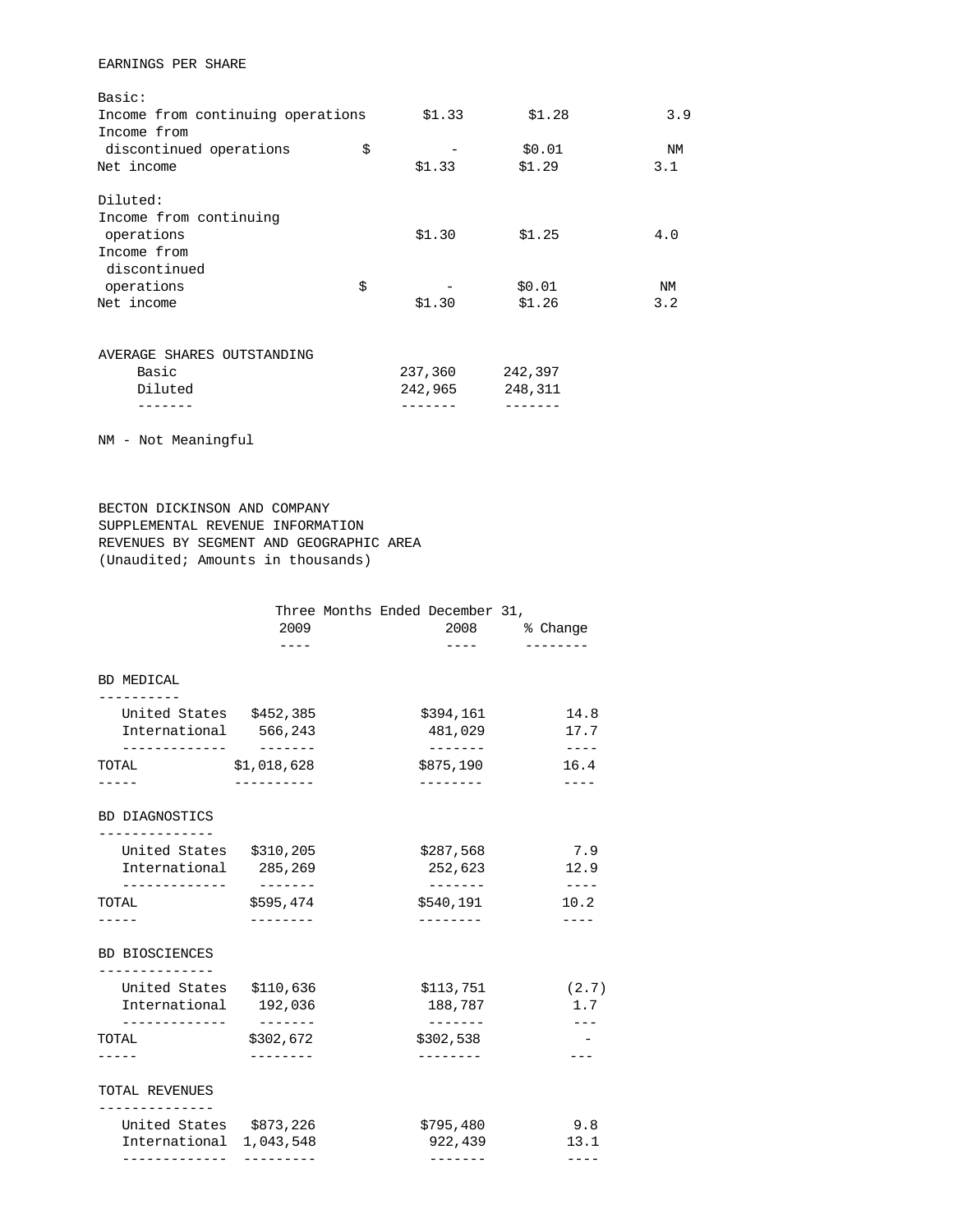## EARNINGS PER SHARE

| Basic:                            |         |         |           |
|-----------------------------------|---------|---------|-----------|
| Income from continuing operations | \$1.33  | \$1.28  | 3.9       |
| Income from                       |         |         |           |
| discontinued operations           | \$      | \$0.01  | <b>NM</b> |
| Net income                        | \$1.33  | \$1.29  | 3.1       |
| Diluted:                          |         |         |           |
| Income from continuing            |         |         |           |
| operations                        | \$1.30  | \$1.25  | 4.0       |
| Income from                       |         |         |           |
| discontinued                      |         |         |           |
| operations                        | \$      | \$0.01  | ΝM        |
| Net income                        | \$1.30  | \$1.26  | 3.2       |
| AVERAGE SHARES OUTSTANDING        |         |         |           |
| Basic                             | 237,360 | 242,397 |           |
| Diluted                           | 242,965 | 248,311 |           |
|                                   |         |         |           |

NM - Not Meaningful

 BECTON DICKINSON AND COMPANY SUPPLEMENTAL REVENUE INFORMATION REVENUES BY SEGMENT AND GEOGRAPHIC AREA (Unaudited; Amounts in thousands)

|                           |                                                            | Three Months Ended December 31,         |
|---------------------------|------------------------------------------------------------|-----------------------------------------|
| 2009<br>$- - - -$         | 2008<br>$---$                                              | % Change<br>--------                    |
|                           |                                                            |                                         |
| United States \$452,385   | \$394,161                                                  | 14.8                                    |
| International 566,243     | 481,029                                                    | 17.7<br>$- - - - -$                     |
| \$1,018,628<br>---------- | \$875,190<br>--------                                      | 16.4<br>----                            |
|                           |                                                            |                                         |
| United States \$310,205   | \$287,568                                                  | 7.9                                     |
| International 285,269     | 252,623                                                    | 12.9<br>$\qquad \qquad - - -$           |
| \$595,474                 | \$540,191                                                  | 10.2                                    |
|                           |                                                            |                                         |
|                           |                                                            |                                         |
| United States \$110,636   | \$113,751                                                  | (2.7)                                   |
|                           |                                                            | 1.7                                     |
| \$302,672                 | \$302,538                                                  |                                         |
|                           |                                                            |                                         |
|                           |                                                            |                                         |
| United States \$873,226   | \$795,480                                                  | 9.8                                     |
| ---------                 | -------                                                    | 13.1<br>$---$                           |
| International             | --------<br>International 192,036<br>--------<br>1,043,548 | 188,787<br>$- - - - - - - -$<br>922,439 |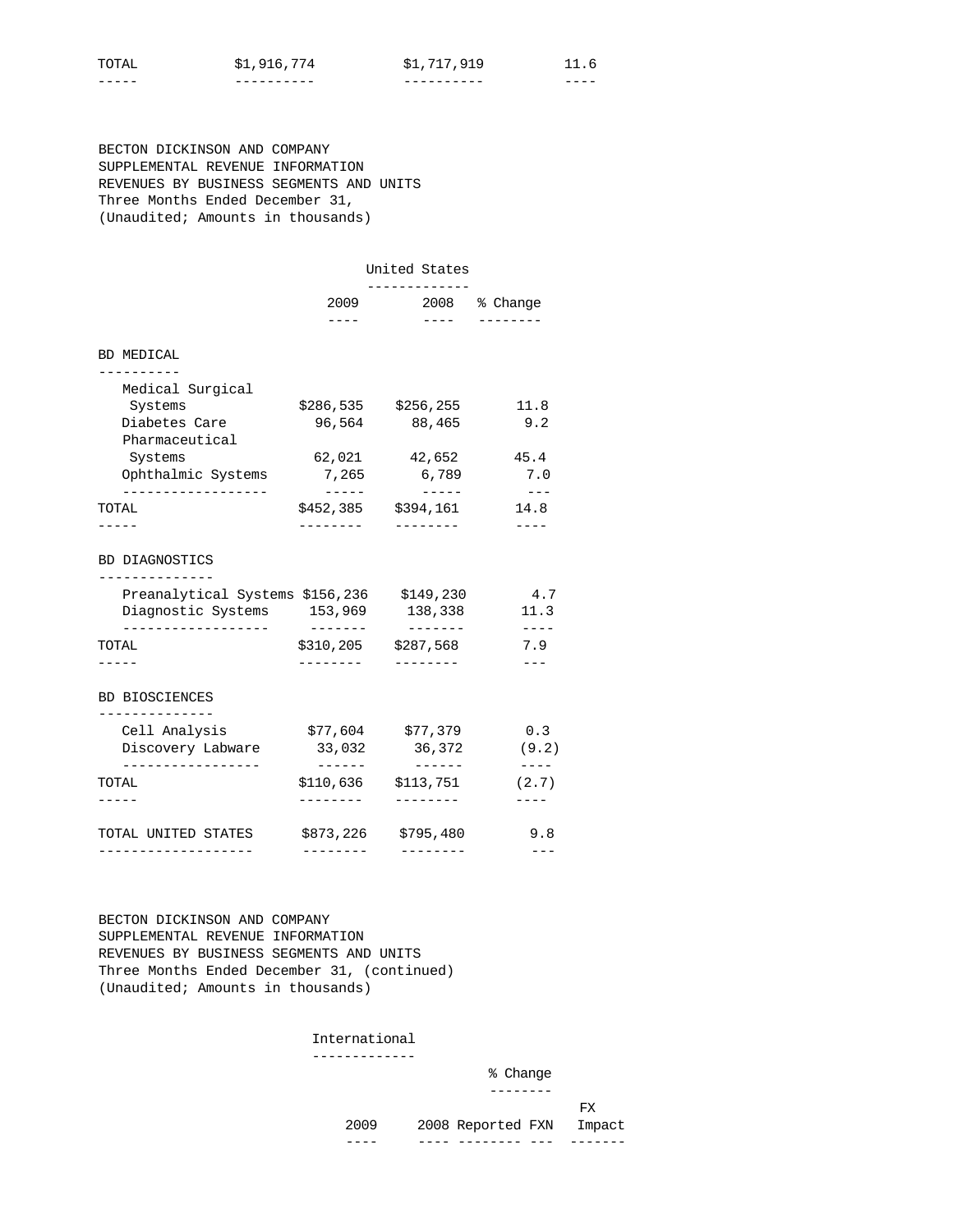| $\sim$    | ъ.<br>∸ | ч<br>◡ |         |
|-----------|---------|--------|---------|
| ---<br>__ | ------  | ----   | $- - -$ |

 BECTON DICKINSON AND COMPANY SUPPLEMENTAL REVENUE INFORMATION REVENUES BY BUSINESS SEGMENTS AND UNITS Three Months Ended December 31, (Unaudited; Amounts in thousands)

| United States                                                                               |                   |                                                                                                                                                                                                                                                                                                                                                                                                               |                                        |  |
|---------------------------------------------------------------------------------------------|-------------------|---------------------------------------------------------------------------------------------------------------------------------------------------------------------------------------------------------------------------------------------------------------------------------------------------------------------------------------------------------------------------------------------------------------|----------------------------------------|--|
|                                                                                             | 2009<br>$- - - -$ | 2008 % Change<br>$\frac{1}{2} \frac{1}{2} \frac{1}{2} \frac{1}{2} \frac{1}{2} \frac{1}{2} \frac{1}{2} \frac{1}{2} \frac{1}{2} \frac{1}{2} \frac{1}{2} \frac{1}{2} \frac{1}{2} \frac{1}{2} \frac{1}{2} \frac{1}{2} \frac{1}{2} \frac{1}{2} \frac{1}{2} \frac{1}{2} \frac{1}{2} \frac{1}{2} \frac{1}{2} \frac{1}{2} \frac{1}{2} \frac{1}{2} \frac{1}{2} \frac{1}{2} \frac{1}{2} \frac{1}{2} \frac{1}{2} \frac{$ |                                        |  |
| BD MEDICAL                                                                                  |                   |                                                                                                                                                                                                                                                                                                                                                                                                               |                                        |  |
| .<br>Medical Surgical                                                                       |                   |                                                                                                                                                                                                                                                                                                                                                                                                               |                                        |  |
| Systems                                                                                     |                   | \$286,535 \$256,255                                                                                                                                                                                                                                                                                                                                                                                           | 11.8                                   |  |
| Diabetes Care                                                                               | 96,564            | 88,465                                                                                                                                                                                                                                                                                                                                                                                                        | 9.2                                    |  |
| Pharmaceutical                                                                              |                   |                                                                                                                                                                                                                                                                                                                                                                                                               |                                        |  |
| Systems                                                                                     |                   | 62,021 42,652                                                                                                                                                                                                                                                                                                                                                                                                 | 45.4                                   |  |
| Ophthalmic Systems                                                                          | 7,265             | 6,789                                                                                                                                                                                                                                                                                                                                                                                                         | 7.0                                    |  |
| _________________<br>TOTAL                                                                  | $- - - - -$       | $- - - - -$<br>\$452,385 \$394,161                                                                                                                                                                                                                                                                                                                                                                            | $---$<br>14.8                          |  |
|                                                                                             | . <i>.</i> .      | --------                                                                                                                                                                                                                                                                                                                                                                                                      |                                        |  |
|                                                                                             |                   |                                                                                                                                                                                                                                                                                                                                                                                                               |                                        |  |
| Preanalytical Systems \$156,236 \$149,230<br>Diagnostic Systems 153,969<br>---------------- |                   | 138,338<br>$- - - - - - - -$                                                                                                                                                                                                                                                                                                                                                                                  |                                        |  |
| TOTAL                                                                                       | --------          | \$310,205 \$287,568                                                                                                                                                                                                                                                                                                                                                                                           | 4.7<br>11.3<br>$----$<br>7.9           |  |
|                                                                                             | ---------         | ---------                                                                                                                                                                                                                                                                                                                                                                                                     |                                        |  |
| <b>BD BIOSCIENCES</b>                                                                       |                   |                                                                                                                                                                                                                                                                                                                                                                                                               |                                        |  |
| -------------<br>Cell Analysis                                                              |                   | \$77,604 \$77,379                                                                                                                                                                                                                                                                                                                                                                                             |                                        |  |
| Discovery Labware                                                                           | 33,032            | 36,372                                                                                                                                                                                                                                                                                                                                                                                                        |                                        |  |
| ---------------<br>TOTAL                                                                    | $- - - - - - -$   | $$110,636$ $$113,751$                                                                                                                                                                                                                                                                                                                                                                                         | 0.3<br>(9.2)<br>$\frac{1}{2}$<br>(2.7) |  |
|                                                                                             |                   | --------                                                                                                                                                                                                                                                                                                                                                                                                      |                                        |  |
| TOTAL UNITED STATES                                                                         | \$873,226         | \$795,480                                                                                                                                                                                                                                                                                                                                                                                                     | 9.8                                    |  |

 BECTON DICKINSON AND COMPANY SUPPLEMENTAL REVENUE INFORMATION REVENUES BY BUSINESS SEGMENTS AND UNITS Three Months Ended December 31, (continued) (Unaudited; Amounts in thousands)

#### International -------------

|      |                          | % Change |  |
|------|--------------------------|----------|--|
|      |                          | -------- |  |
|      |                          | FX.      |  |
| 2009 | 2008 Reported FXN Impact |          |  |
|      |                          |          |  |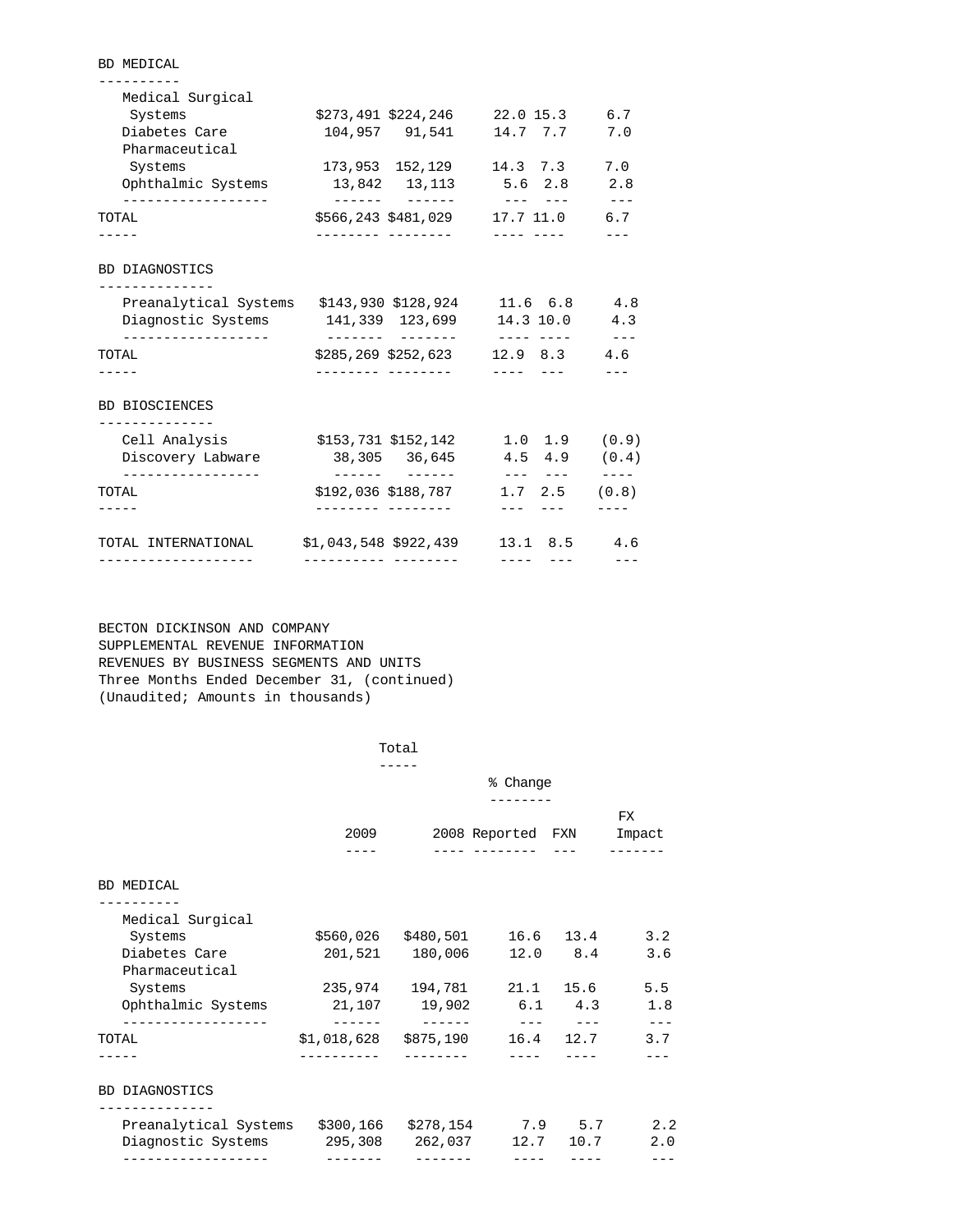| Medical Surgical                                                             |                      |                     |                                     |             |
|------------------------------------------------------------------------------|----------------------|---------------------|-------------------------------------|-------------|
| Systems                                                                      |                      |                     | \$273,491 \$224,246 22.0 15.3 6.7   |             |
| Diabetes Care<br>Pharmaceutical                                              |                      |                     | 104,957 91,541 14.7 7.7             | 7.0         |
| Systems                                                                      |                      |                     | 173,953 152,129 14.3 7.3            | 7.0         |
| Ophthalmic Systems                                                           |                      |                     | 13,842 13,113 5.6 2.8               | 2.8         |
| ------------------<br>TOTAL                                                  |                      |                     | \$566,243 \$481,029 17.7 11.0 6.7   | $- - -$     |
|                                                                              |                      |                     |                                     |             |
| BD DIAGNOSTICS                                                               |                      |                     |                                     |             |
| -------------                                                                |                      |                     |                                     |             |
| Preanalytical Systems \$143,930 \$128,924 11.6 6.8 4.8                       |                      |                     |                                     |             |
| Diagnostic Systems 141,339 123,699 14.3 10.0 4.3                             |                      |                     |                                     |             |
| ----------------<br>TOTAL                                                    |                      |                     | $$285, 269 \$252, 623$ 12.9 8.3 4.6 | $- - -$     |
|                                                                              |                      |                     |                                     |             |
| <b>BD BIOSCIENCES</b><br>______________                                      |                      |                     |                                     |             |
| Cell Analysis                                                                |                      |                     | $$153,731$ $$152,142$ 1.0 1.9 (0.9) |             |
| Discovery Labware<br>_________________                                       |                      | 38,305 36,645       | $4.5$ $4.9$ $(0.4)$                 | $- - - - -$ |
| TOTAL                                                                        |                      | \$192,036 \$188,787 | $1.7$ $2.5$ $(0.8)$                 |             |
|                                                                              |                      | --------- --------  | --- --- -                           |             |
| TOTAL INTERNATIONAL \$1,043,548 \$922,439 13.1 8.5 4.6<br>------------------ | ----------- -------- |                     | -----                               |             |
|                                                                              |                      |                     |                                     |             |

 BECTON DICKINSON AND COMPANY SUPPLEMENTAL REVENUE INFORMATION REVENUES BY BUSINESS SEGMENTS AND UNITS Three Months Ended December 31, (continued) (Unaudited; Amounts in thousands)

BD MEDICAL

| Total<br>_____ |
|----------------|
| $ -$           |

|                                                                      |                                                                                                                                                           |                                     | % Change                 |           |                      |
|----------------------------------------------------------------------|-----------------------------------------------------------------------------------------------------------------------------------------------------------|-------------------------------------|--------------------------|-----------|----------------------|
|                                                                      | 2009                                                                                                                                                      |                                     | 2008 Reported FXN Impact |           | FX.                  |
|                                                                      |                                                                                                                                                           |                                     |                          |           |                      |
| BD MEDICAL                                                           |                                                                                                                                                           |                                     |                          |           |                      |
|                                                                      |                                                                                                                                                           |                                     |                          |           |                      |
| Medical Surgical<br>Systems                                          |                                                                                                                                                           | $$560,026$ $$480,501$ 16.6 13.4 3.2 |                          |           |                      |
| Diabetes Care                                                        |                                                                                                                                                           | 201,521 180,006 12.0 8.4            |                          |           | 3.6                  |
| Pharmaceutical                                                       |                                                                                                                                                           |                                     |                          |           |                      |
| Systems                                                              | 235,974 194,781 21.1 15.6                                                                                                                                 |                                     |                          |           | 5.5                  |
| Ophthalmic Systems 21,107 19,902 6.1 4.3                             |                                                                                                                                                           |                                     |                          |           | 1.8                  |
| TOTAL                                                                | and the company of the company of the company of the company of the company of the company of the company of the<br>$$1,018,628$ $$875,190$ $16.4$ $12.7$ |                                     |                          |           | $\frac{1}{2}$<br>3.7 |
|                                                                      |                                                                                                                                                           |                                     |                          |           |                      |
| <b>BD DIAGNOSTICS</b>                                                |                                                                                                                                                           |                                     |                          |           |                      |
| -----------<br>Preanalytical Systems \$300,166 \$278,154 7.9 5.7 2.2 |                                                                                                                                                           |                                     |                          |           |                      |
| Diagnostic Systems 295,308 262,037                                   |                                                                                                                                                           |                                     |                          | 12.7 10.7 | 2.0                  |
| . _ _ _ _ _ _ _ _ _ _ _ _ _ _ _ _ _ _                                | -------                                                                                                                                                   |                                     | -----                    |           |                      |